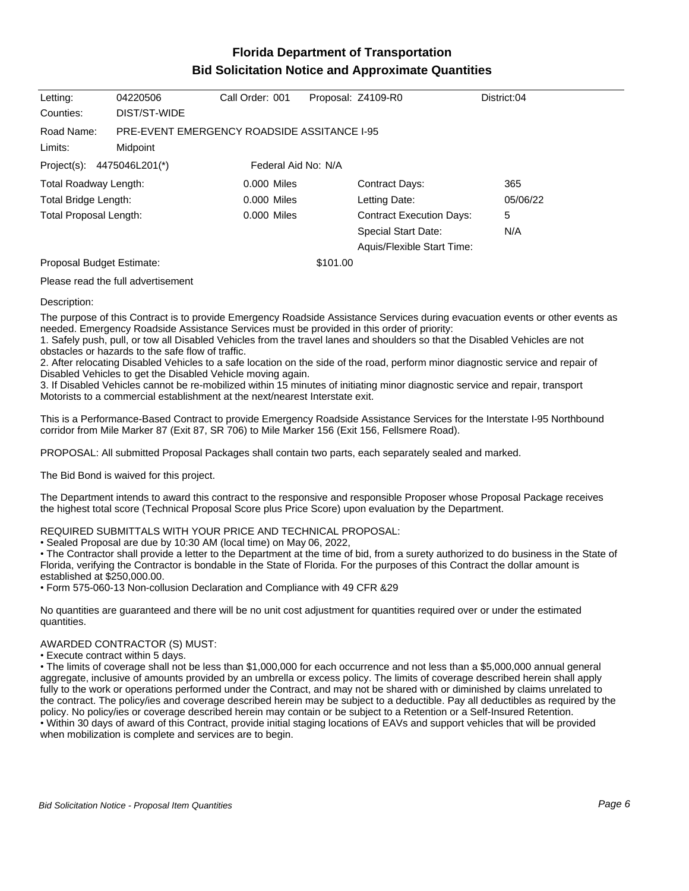## **Florida Department of Transportation Bid Solicitation Notice and Approximate Quantities**

| Letting:                                                         | 04220506     | Call Order: 001     |          | Proposal: Z4109-R0              | District:04 |
|------------------------------------------------------------------|--------------|---------------------|----------|---------------------------------|-------------|
| Counties:                                                        | DIST/ST-WIDE |                     |          |                                 |             |
| <b>PRE-EVENT EMERGENCY ROADSIDE ASSITANCE I-95</b><br>Road Name: |              |                     |          |                                 |             |
| Limits:                                                          | Midpoint     |                     |          |                                 |             |
| Project(s): $4475046L201$ <sup>*</sup> )                         |              | Federal Aid No: N/A |          |                                 |             |
| Total Roadway Length:                                            |              | 0.000 Miles         |          | <b>Contract Days:</b>           | 365         |
| Total Bridge Length:                                             |              | $0.000$ Miles       |          | Letting Date:                   | 05/06/22    |
| Total Proposal Length:                                           |              | 0.000 Miles         |          | <b>Contract Execution Days:</b> | 5           |
|                                                                  |              |                     |          | Special Start Date:             | N/A         |
|                                                                  |              |                     |          | Aquis/Flexible Start Time:      |             |
| Proposal Budget Estimate:                                        |              |                     | \$101.00 |                                 |             |

Please read the full advertisement

### Description:

The purpose of this Contract is to provide Emergency Roadside Assistance Services during evacuation events or other events as needed. Emergency Roadside Assistance Services must be provided in this order of priority:

1. Safely push, pull, or tow all Disabled Vehicles from the travel lanes and shoulders so that the Disabled Vehicles are not obstacles or hazards to the safe flow of traffic.

2. After relocating Disabled Vehicles to a safe location on the side of the road, perform minor diagnostic service and repair of Disabled Vehicles to get the Disabled Vehicle moving again.

3. If Disabled Vehicles cannot be re-mobilized within 15 minutes of initiating minor diagnostic service and repair, transport Motorists to a commercial establishment at the next/nearest Interstate exit.

This is a Performance-Based Contract to provide Emergency Roadside Assistance Services for the Interstate I-95 Northbound corridor from Mile Marker 87 (Exit 87, SR 706) to Mile Marker 156 (Exit 156, Fellsmere Road).

PROPOSAL: All submitted Proposal Packages shall contain two parts, each separately sealed and marked.

The Bid Bond is waived for this project.

The Department intends to award this contract to the responsive and responsible Proposer whose Proposal Package receives the highest total score (Technical Proposal Score plus Price Score) upon evaluation by the Department.

### REQUIRED SUBMITTALS WITH YOUR PRICE AND TECHNICAL PROPOSAL:

Sealed Proposal are due by 10:30 AM (local time) on May 06, 2022,

The Contractor shall provide a letter to the Department at the time of bid, from a surety authorized to do business in the State of Florida, verifying the Contractor is bondable in the State of Florida. For the purposes of this Contract the dollar amount is established at \$250,000.00.

Form 575-060-13 Non-collusion Declaration and Compliance with 49 CFR &29

No quantities are guaranteed and there will be no unit cost adjustment for quantities required over or under the estimated quantities.

### AWARDED CONTRACTOR (S) MUST:

Execute contract within 5 days.

The limits of coverage shall not be less than \$1,000,000 for each occurrence and not less than a \$5,000,000 annual general aggregate, inclusive of amounts provided by an umbrella or excess policy. The limits of coverage described herein shall apply fully to the work or operations performed under the Contract, and may not be shared with or diminished by claims unrelated to the contract. The policy/ies and coverage described herein may be subject to a deductible. Pay all deductibles as required by the policy. No policy/ies or coverage described herein may contain or be subject to a Retention or a Self-Insured Retention. Within 30 days of award of this Contract, provide initial staging locations of EAVs and support vehicles that will be provided when mobilization is complete and services are to begin.